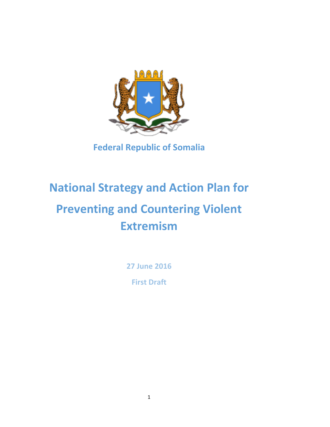

**Federal Republic of Somalia** 

# **National Strategy and Action Plan for Preventing and Countering Violent Extremism**

**27 June 2016 First Draft**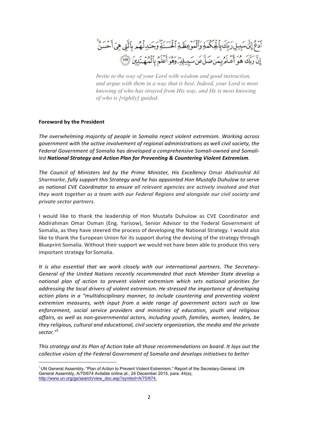ٱدْعُ إِنَّى سَبِيلِ رَبِّكَ بِٱلْحِكْمَةِ وَٱلْمَوْعِظَةِ ٱلْحَسَنَةِ وَجَدِلْهُم بِٱلَّتِي هِيَ أَحْسَنُ إِنَّ رَبَّكَ هُوَ أَعْلَمُ بِمَنصَلَّ عَنِ سَبِيلِهِ ۗ وَهُوَ أَعَلَمُ بِٱلْمُهَنَّذِينَ ۞

*Invite to the way of your Lord with wisdom and good instruction, and argue with them in a way that is best. Indeed, your Lord is most knowing of who has strayed from His way, and He is most knowing of who is [rightly] guided.*

#### **Foreword by the President**

The overwhelming majority of people in Somalia reject violent extremism. Working across *government with the active involvement of regional administrations as well civil society, the* Federal Government of Somalia has developed a comprehensive Somali-owned and Somali*led* National Strategy and Action Plan for Preventing & Countering Violent Extremism.

The Council of Ministers led by the Prime Minister, His Excellency Omar Abdirashid Ali *Sharmarke, fully support this Strategy and he has appointed Hon Mustafa Duhulow to serve* as national CVE Coordinator to ensure all relevant agencies are actively involved and that *they* work together as a team with our Federal Regions and alongside our civil society and *private sector partners.*

I would like to thank the leadership of Hon Mustafa Duhulow as CVE Coordinator and Abdirahman Omar Osman (Eng. Yarisow), Senior Advisor to the Federal Government of Somalia, as they have steered the process of developing the National Strategy. I would also like to thank the European Union for its support during the devising of the strategy through Blueprint Somalia. Without their support we would not have been able to produce this very important strategy for Somalia.

It is also essential that we work closely with our international partners. The Secretary-General of the United Nations recently recommended that each Member State develop a national plan of action to prevent violent extremism which sets national priorities for *addressing the local drivers of violent extremism. He stressed the importance of developing action plans in a "multidisciplinary manner, to include countering and preventing violent* extremism measures, with input from a wide range of government actors such as law enforcement, social service providers and ministries of education, youth and religious affairs, as well as non-governmental actors, including youth, families, women, leaders, be they religious, cultural and educational, civil society organization, the media and the private *sector."*<sup>1</sup>

This strategy and its Plan of Action take all those recommendations on board. It lays out the *collective vision of the Federal Government of Somalia and develops initiatives to better* 

<sup>1</sup> UN General Assembly, "Plan of Action to Prevent Violent Extremism," Report of the Secretary-General. UN General Assembly, A/70/674 Avilable online at:, 24 December 2015, para. 44(a), http://www.un.org/ga/search/view\_doc.asp?symbol=A/70/674.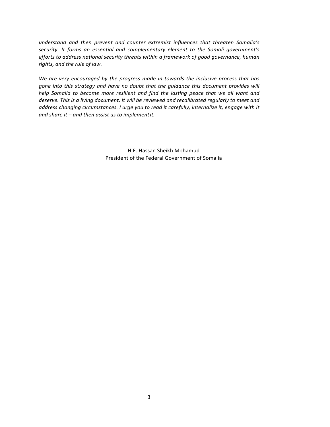understand and then prevent and counter extremist influences that threaten Somalia's security. It forms an essential and complementary element to the Somali government's *efforts* to address national security threats within a framework of good governance, human *rights, and the rule of law.* 

We are very encouraged by the progress made in towards the inclusive process that has gone into this strategy and have no doubt that the guidance this document provides will *help* Somalia to become more resilient and find the lasting peace that we all want and *deserve. This is a living document. It will be reviewed and recalibrated regularly to meet and*  address changing circumstances. I urge you to read it carefully, internalize it, engage with it and share it – and then assist us to implement it.

> H.E. Hassan Sheikh Mohamud President of the Federal Government of Somalia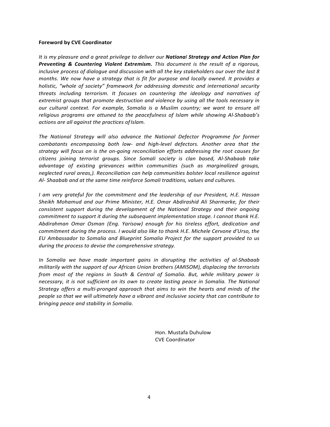#### **Foreword by CVE Coordinator**

It is my pleasure and a great privilege to deliver our **National Strategy and Action Plan for Preventing & Countering Violent Extremism.** This document is the result of a rigorous, inclusive process of dialogue and discussion with all the key stakeholders our over the last 8 *months.* We now have a strategy that is fit for purpose and locally owned. It provides a *holistic, "whole of society" framework for addressing domestic and international security threats including terrorism. It focuses on countering the ideology and narratives of extremist groups that promote destruction and violence by using all the tools necessary in our* cultural context. For example, Somalia is a Muslim country; we want to ensure all religious programs are attuned to the peacefulness of *Islam* while showing Al-Shabaab's *actions are all against the practices ofIslam.*

The National Strategy will also advance the National Defector Programme for former *combatants* encompassing both low- and high-level defectors. Another area that the strategy will focus on is the on-going reconciliation efforts addressing the root causes for citizens joining terrorist groups. Since Somali society is clan based, Al-Shabaab take *advantage of existing grievances within communities (such as marginalized groups, neglected rural areas,). Reconciliation can help communities bolster local resilience against* Al- Shaabab and at the same time reinforce Somali traditions, values and cultures.

*I* am very grateful for the commitment and the leadership of our President, H.E. Hassan Sheikh Mohamud and our Prime Minister, H.E. Omar Abdirashid Ali Sharmarke, for their *consistent support during the development of the National Strategy and their ongoing commitment to support it during the subsequent implementation stage. I cannot thank H.E.* Abdirahman Omar Osman (Eng. Yarisow) enough for his tireless effort, dedication and *commitment during the process. I would also like to thank H.E. Michele Cervone d'Urso, the EU* Ambassador to Somalia and Blueprint Somalia Project for the support provided to us during the process to devise the comprehensive strategy.

*In* Somalia we have made important gains in disrupting the activities of al-Shabaab *militarily with the support of our African Union brothers (AMISOM), displacing the terrorists from most of the regions in South & Central of Somalia. But, while military power is necessary, it is not sufficient on its own to create lasting peace in Somalia. The National Strategy offers a multi-pronged approach that aims to win the hearts and minds of the people so that we will ultimately have a vibrant and inclusive society that can contribute to bringing peace and stability in Somalia.*

> Hon. Mustafa Duhulow CVE Coordinator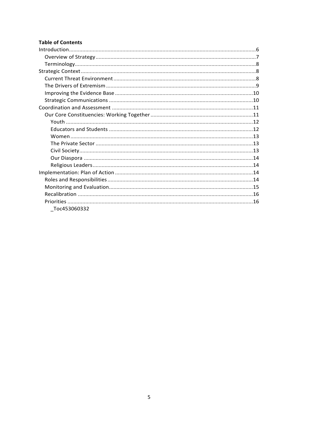# **Table of Contents**

| Toc453060332 |  |
|--------------|--|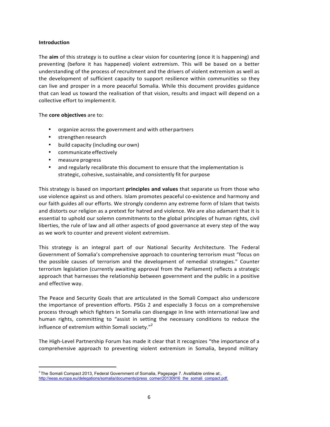#### **Introduction**

The **aim** of this strategy is to outline a clear vision for countering (once it is happening) and preventing (before it has happened) violent extremism. This will be based on a better understanding of the process of recruitment and the drivers of violent extremism as well as the development of sufficient capacity to support resilience within communities so they can live and prosper in a more peaceful Somalia. While this document provides guidance that can lead us toward the realisation of that vision, results and impact will depend on a collective effort to implement it.

The **core objectives** are to:

- organize across the government and with otherpartners
- strengthen research
- build capacity (including our own)
- communicate effectively
- measure progress
- and regularly recalibrate this document to ensure that the implementation is strategic, cohesive, sustainable, and consistently fit for purpose

This strategy is based on important **principles and values** that separate us from those who use violence against us and others. Islam promotes peaceful co-existence and harmony and our faith guides all our efforts. We strongly condemn any extreme form of Islam that twists and distorts our religion as a pretext for hatred and violence. We are also adamant that it is essential to uphold our solemn commitments to the global principles of human rights, civil liberties, the rule of law and all other aspects of good governance at every step of the way as we work to counter and prevent violent extremism.

This strategy is an integral part of our National Security Architecture. The Federal Government of Somalia's comprehensive approach to countering terrorism must "focus on the possible causes of terrorism and the development of remedial strategies." Counter terrorism legislation (currently awaiting approval from the Parliament) reflects a strategic approach that harnesses the relationship between government and the public in a positive and effective way.

The Peace and Security Goals that are articulated in the Somali Compact also underscore the importance of prevention efforts. PSGs 2 and especially 3 focus on a comprehensive process through which fighters in Somalia can disengage in line with international law and human rights, committing to "assist in setting the necessary conditions to reduce the influence of extremism within Somali society."<sup>2</sup>

The High-Level Partnership Forum has made it clear that it recognizes "the importance of a comprehensive approach to preventing violent extremism in Somalia, beyond military

 $2$  The Somali Compact 2013, Federal Government of Somalia, Pagepage 7. Avalilable online at:, http://eeas.europa.eu/delegations/somalia/documents/press\_corner/20130916\_the\_somali\_compact.pdf.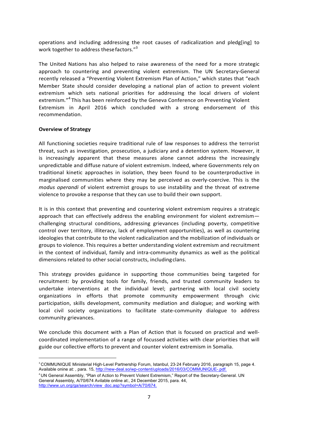operations and including addressing the root causes of radicalization and pledg[ing] to work together to address these factors."<sup>3</sup>

The United Nations has also helped to raise awareness of the need for a more strategic approach to countering and preventing violent extremism. The UN Secretary-General recently released a "Preventing Violent Extremism Plan of Action," which states that "each Member State should consider developing a national plan of action to prevent violent extremism which sets national priorities for addressing the local drivers of violent extremism.<sup>"4</sup> This has been reinforced by the Geneva Conference on Preventing Violent Extremism in April 2016 which concluded with a strong endorsement of this recommendation.

#### **Overview of Strategy**

All functioning societies require traditional rule of law responses to address the terrorist threat, such as investigation, prosecution, a judiciary and a detention system. However, it is increasingly apparent that these measures alone cannot address the increasingly unpredictable and diffuse nature of violent extremism. Indeed, where Governments rely on traditional kinetic approaches in isolation, they been found to be counterproductive in marginalised communities where they may be perceived as overly-coercive. This is the *modus operandi* of violent extremist groups to use instability and the threat of extreme violence to provoke a response that they can use to build their own support.

It is in this context that preventing and countering violent extremism requires a strategic approach that can effectively address the enabling environment for violent extremismchallenging structural conditions, addressing grievances (including poverty, competitive control over territory, illiteracy, lack of employment opportunities), as well as countering ideologies that contribute to the violent radicalization and the mobilization of individuals or groups to violence. This requires a better understanding violent extremism and recruitment in the context of individual, family and intra-community dynamics as well as the political dimensions related to other social constructs, including clans.

This strategy provides guidance in supporting those communities being targeted for recruitment: by providing tools for family, friends, and trusted community leaders to undertake interventions at the individual level; partnering with local civil society organizations in efforts that promote community empowerment through civic participation, skills development, community mediation and dialogue; and working with local civil society organizations to facilitate state-community dialogue to address community grievances.

We conclude this document with a Plan of Action that is focused on practical and wellcoordinated implementation of a range of focussed activities with clear priorities that will guide our collective efforts to prevent and counter violent extremism in Somalia.

<sup>&</sup>lt;sup>3</sup> COMMUNIQUE Ministerial High-Level Partnership Forum, Istanbul, 23-24 February 2016, paragraph 15, page 4. Available onine at: , para. 15, http://new-deal.so/wp-content/uploads/2016/03/COMMUNIQUE-.pd

<sup>4</sup> UN General Assembly, "Plan of Action to Prevent Violent Extremism," Report of the Secretary-General. UN General Assembly, A/70/674 Avilable online at:, 24 December 2015, para. 44, http://www.un.org/ga/search/view\_doc.asp?symbol=A/70/674.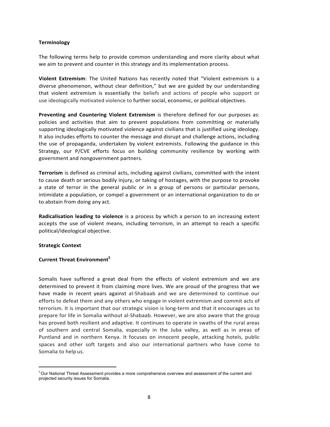#### **Terminology**

The following terms help to provide common understanding and more clarity about what we aim to prevent and counter in this strategy and its implementation process.

**Violent Extremism**: The United Nations has recently noted that "Violent extremism is a diverse phenomenon, without clear definition," but we are guided by our understanding that violent extremism is essentially the beliefs and actions of people who support or use ideologically motivated violence to further social, economic, or political objectives.

**Preventing and Countering Violent Extremism** is therefore defined for our purposes as: policies and activities that aim to prevent populations from committing or materially supporting ideologically motivated violence against civilians that is justified using ideology. It also includes efforts to counter the message and disrupt and challenge actions, including the use of propaganda, undertaken by violent extremists. Following the guidance in this Strategy, our P/CVE efforts focus on building community resilience by working with government and nongovernment partners.

**Terrorism** is defined as criminal acts, including against civilians, committed with the intent to cause death or serious bodily injury, or taking of hostages, with the purpose to provoke a state of terror in the general public or in a group of persons or particular persons, intimidate a population, or compel a government or an international organization to do or to abstain from doing any act.

**Radicalisation leading to violence** is a process by which a person to an increasing extent accepts the use of violent means, including terrorism, in an attempt to reach a specific political/ideological objective.

#### **Strategic Context**

## **Current Threat Environment<sup>5</sup>**

Somalis have suffered a great deal from the effects of violent extremism and we are determined to prevent it from claiming more lives. We are proud of the progress that we have made in recent years against al-Shabaab and we are determined to continue our efforts to defeat them and any others who engage in violent extremism and commit acts of terrorism. It is important that our strategic vision is long-term and that it encourages us to prepare for life in Somalia without al-Shabaab. However, we are also aware that the group has proved both resilient and adaptive. It continues to operate in swaths of the rural areas of southern and central Somalia, especially in the Juba valley, as well as in areas of Puntland and in northern Kenya. It focuses on innocent people, attacking hotels, public spaces and other soft targets and also our international partners who have come to Somalia to help us.

<sup>5</sup> Our National Threat Assessment provides a more comprehensive overview and assessment of the current and projected security issues for Somalia.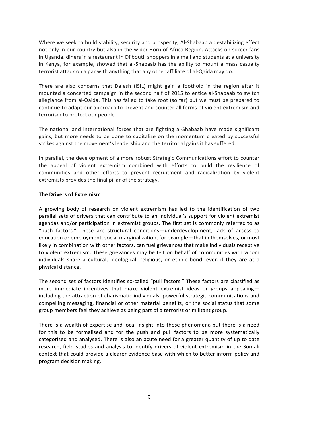Where we seek to build stability, security and prosperity, Al-Shabaab a destabilizing effect not only in our country but also in the wider Horn of Africa Region. Attacks on soccer fans in Uganda, diners in a restaurant in Djibouti, shoppers in a mall and students at a university in Kenya, for example, showed that al-Shabaab has the ability to mount a mass casualty terrorist attack on a par with anything that any other affiliate of al-Qaida may do.

There are also concerns that Da'esh (ISIL) might gain a foothold in the region after it mounted a concerted campaign in the second half of 2015 to entice al-Shabaab to switch allegiance from al-Qaida. This has failed to take root (so far) but we must be prepared to continue to adapt our approach to prevent and counter all forms of violent extremism and terrorism to protect our people.

The national and international forces that are fighting al-Shabaab have made significant gains, but more needs to be done to capitalize on the momentum created by successful strikes against the movement's leadership and the territorial gains it has suffered.

In parallel, the development of a more robust Strategic Communications effort to counter the appeal of violent extremism combined with efforts to build the resilience of communities and other efforts to prevent recruitment and radicalization by violent extremists provides the final pillar of the strategy.

#### **The Drivers of Extremism**

A growing body of research on violent extremism has led to the identification of two parallel sets of drivers that can contribute to an individual's support for violent extremist agendas and/or participation in extremist groups. The first set is commonly referred to as "push factors." These are structural conditions—underdevelopment, lack of access to education or employment, social marginalization, for example—that in themselves, or most likely in combination with other factors, can fuel grievances that make individuals receptive to violent extremism. These grievances may be felt on behalf of communities with whom individuals share a cultural, ideological, religious, or ethnic bond, even if they are at a physical distance.

The second set of factors identifies so-called "pull factors." These factors are classified as more immediate incentives that make violent extremist ideas or groups appealing including the attraction of charismatic individuals, powerful strategic communications and compelling messaging, financial or other material benefits, or the social status that some group members feel they achieve as being part of a terrorist or militant group.

There is a wealth of expertise and local insight into these phenomena but there is a need for this to be formalised and for the push and pull factors to be more systematically categorised and analysed. There is also an acute need for a greater quantity of up to date research, field studies and analysis to identify drivers of violent extremism in the Somali context that could provide a clearer evidence base with which to better inform policy and program decision making.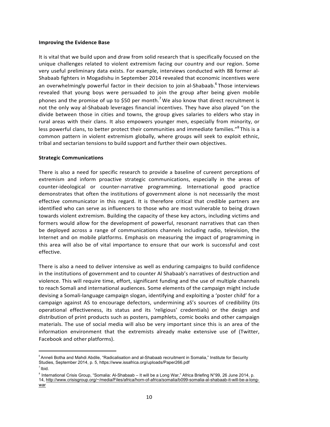#### **Improving the Evidence Base**

It is vital that we build upon and draw from solid research that is specifically focused on the unique challenges related to violent extremism facing our country and our region. Some very useful preliminary data exists. For example, interviews conducted with 88 former al-Shabaab fighters in Mogadishu in September 2014 revealed that economic incentives were an overwhelmingly powerful factor in their decision to join al-Shabaab.<sup>6</sup> Those interviews revealed that young boys were persuaded to join the group after being given mobile phones and the promise of up to \$50 per month.<sup>7</sup> We also know that direct recruitment is not the only way al-Shabaab leverages financial incentives. They have also played "on the divide between those in cities and towns, the group gives salaries to elders who stay in rural areas with their clans. It also empowers younger men, especially from minority, or less powerful clans, to better protect their communities and immediate families."<sup>8</sup> This is a common pattern in violent extremism globally, where groups will seek to exploit ethnic, tribal and sectarian tensions to build support and further their own objectives.

#### **Strategic Communications**

There is also a need for specific research to provide a baseline of cureent perceptions of extremism and inform proactive strategic communications, especially in the areas of counter-ideological or counter-narrative programming. International good practice demonstrates that often the institutions of government alone is not necessarily the most effective communicator in this regard. It is therefore critical that credible partners are identified who can serve as influencers to those who are most vulnerable to being drawn towards violent extremism. Building the capacity of these key actors, including victims and formers would allow for the development of powerful, resonant narratives that can then be deployed across a range of communications channels including radio, television, the Internet and on mobile platforms. Emphasis on measuring the impact of programming in this area will also be of vital importance to ensure that our work is successful and cost effective.

There is also a need to deliver intensive as well as enduring campaigns to build confidence in the institutions of government and to counter Al Shabaab's narratives of destruction and violence. This will require time, effort, significant funding and the use of multiple channels to reach Somali and international audiences. Some elements of the campaign might include devising a Somali-language campaign slogan, identifying and exploiting a 'poster child' for a campaign against AS to encourage defectors, undermining aS's sources of credibility (its operational effectiveness, its status and its 'religious' credentials) or the design and distribution of print products such as posters, pamphlets, comic books and other campaign materials. The use of social media will also be very important since this is an area of the information environment that the extremists already make extensive use of (Twitter, Facebook and other platforms).

<sup>&</sup>lt;sup>6</sup> Anneli Botha and Mahdi Abdile, "Radicalisation and al-Shabaab recruitment in Somalia," Institute for Security Studies, September 2014, p. 5, https://www.issafrica.org/uploads/Paper266.pdf

 $<sup>7</sup>$  Ibid.</sup>

<sup>8</sup> International Crisis Group, "Somalia: Al-Shabaab – It will be a Long War," Africa Briefing N°99, 26 June 2014, p. 14, http://www.crisisgroup.org/~/media/Files/africa/horn-of-africa/somalia/b099-somalia-al-shabaab-it-will-be-a-long-

war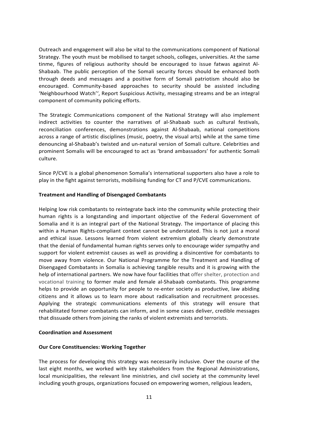Outreach and engagement will also be vital to the communications component of National Strategy. The youth must be mobilised to target schools, colleges, universities. At the same tinme, figures of religious authority should be encouraged to issue fatwas against Al-Shabaab. The public perception of the Somali security forces should be enhanced both through deeds and messages and a positive form of Somali patriotism should also be encouraged. Community-based approaches to security should be assisted including 'Neighbourhood Watch'', Report Suspicious Activity, messaging streams and be an integral component of community policing efforts.

The Strategic Communications component of the National Strategy will also implement indirect activities to counter the narratives of al-Shabaab such as cultural festivals, reconciliation conferences, demonstrations against Al-Shabaab, national competitions across a range of artistic disciplines (music, poetry, the visual arts) while at the same time denouncing al-Shabaab's twisted and un-natural version of Somali culture. Celebrities and prominent Somalis will be encouraged to act as 'brand ambassadors' for authentic Somali culture.

Since P/CVE is a global phenomenon Somalia's international supporters also have a role to play in the fight against terrorists, mobilising funding for CT and P/CVE communications.

#### **Treatment and Handling of Disengaged Combatants**

Helping low risk combatants to reintegrate back into the community while protecting their human rights is a longstanding and important objective of the Federal Government of Somalia and it is an integral part of the National Strategy. The importance of placing this within a Human Rights-compliant context cannot be understated. This is not just a moral and ethical issue. Lessons learned from violent extremism globally clearly demonstrate that the denial of fundamental human rights serves only to encourage wider sympathy and support for violent extremist causes as well as providing a disincentive for combatants to move away from violence. Our National Programme for the Treatment and Handling of Disengaged Combatants in Somalia is achieving tangible results and it is growing with the help of international partners. We now have four facilities that offer shelter, protection and vocational training to former male and female al-Shabaab combatants. This programme helps to provide an opportunity for people to re-enter society as productive, law abiding citizens and it allows us to learn more about radicalisation and recruitment processes. Applying the strategic communications elements of this strategy will ensure that rehabilitated former combatants can inform, and in some cases deliver, credible messages that dissuade others from joining the ranks of violent extremists and terrorists.

#### **Coordination and Assessment**

#### **Our Core Constituencies: Working Together**

The process for developing this strategy was necessarily inclusive. Over the course of the last eight months, we worked with key stakeholders from the Regional Administrations, local municipalities, the relevant line ministries, and civil society at the community level including youth groups, organizations focused on empowering women, religious leaders,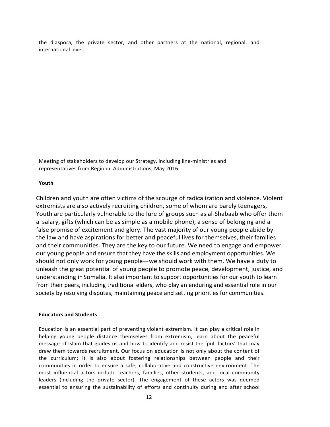the diaspora, the private sector, and other partners at the national, regional, and international level.

Meeting of stakeholders to develop our Strategy, including line-ministries and representatives from Regional Administrations, May 2016

#### **Youth**

Children and youth are often victims of the scourge of radicalization and violence. Violent extremists are also actively recruiting children, some of whom are barely teenagers, Youth are particularly vulnerable to the lure of groups such as al-Shabaab who offer them a salary, gifts (which can be as simple as a mobile phone), a sense of belonging and a false promise of excitement and glory. The vast majority of our young people abide by the law and have aspirations for better and peaceful lives for themselves, their families and their communities. They are the key to our future. We need to engage and empower our young people and ensure that they have the skills and employment opportunities. We should not only work for young people—we should work with them. We have a duty to unleash the great potential of young people to promote peace, development, justice, and understanding in Somalia. It also important to support opportunities for our youth to learn from their peers, including traditional elders, who play an enduring and essential role in our society by resolving disputes, maintaining peace and setting priorities for communities.

#### **Educators and Students**

Education is an essential part of preventing violent extremism. It can play a critical role in helping young people distance themselves from extremism, learn about the peaceful message of Islam that guides us and how to identify and resist the 'pull factors' that may draw them towards recruitment. Our focus on education is not only about the content of the curriculum; it is also about fostering relationships between people and their communities in order to ensure a safe, collaborative and constructive environment. The most influential actors include teachers, families, other students, and local community leaders (including the private sector). The engagement of these actors was deemed essential to ensuring the sustainability of efforts and continuity during and after school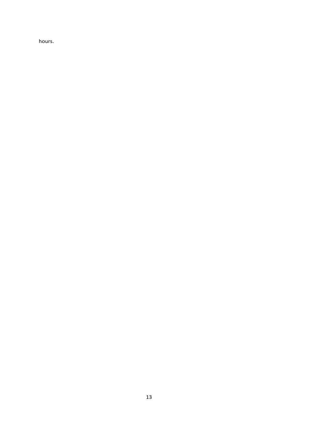hours.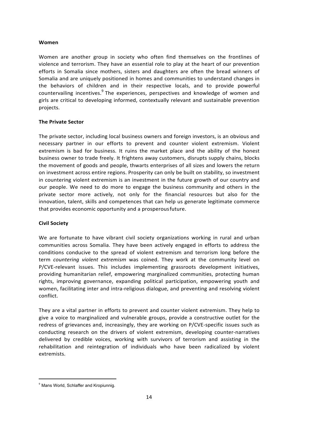#### **Women**

Women are another group in society who often find themselves on the frontlines of violence and terrorism. They have an essential role to play at the heart of our prevention efforts in Somalia since mothers, sisters and daughters are often the bread winners of Somalia and are uniquely positioned in homes and communities to understand changes in the behaviors of children and in their respective locals, and to provide powerful countervailing incentives.<sup>9</sup> The experiences, perspectives and knowledge of women and girls are critical to developing informed, contextually relevant and sustainable prevention projects.

#### **The Private Sector**

The private sector, including local business owners and foreign investors, is an obvious and necessary partner in our efforts to prevent and counter violent extremism. Violent extremism is bad for business. It ruins the market place and the ability of the honest business owner to trade freely. It frightens away customers, disrupts supply chains, blocks the movement of goods and people, thwarts enterprises of all sizes and lowers the return on investment across entire regions. Prosperity can only be built on stability, so investment in countering violent extremism is an investment in the future growth of our country and our people. We need to do more to engage the business community and others in the private sector more actively, not only for the financial resources but also for the innovation, talent, skills and competences that can help us generate legitimate commerce that provides economic opportunity and a prosperous future.

#### **Civil Society**

We are fortunate to have vibrant civil society organizations working in rural and urban communities across Somalia. They have been actively engaged in efforts to address the conditions conducive to the spread of violent extremism and terrorism long before the term *countering violent extremism* was coined. They work at the community level on P/CVE-relevant issues. This includes implementing grassroots development initiatives, providing humanitarian relief, empowering marginalized communities, protecting human rights, improving governance, expanding political participation, empowering youth and women, facilitating inter and intra-religious dialogue, and preventing and resolving violent conflict.

They are a vital partner in efforts to prevent and counter violent extremism. They help to give a voice to marginalized and vulnerable groups, provide a constructive outlet for the redress of grievances and, increasingly, they are working on P/CVE-specific issues such as conducting research on the drivers of violent extremism, developing counter-narratives delivered by credible voices, working with survivors of terrorism and assisting in the rehabilitation and reintegration of individuals who have been radicalized by violent extremists.

<sup>&</sup>lt;sup>9</sup> Mans World, Schlaffer and Kropiunnig.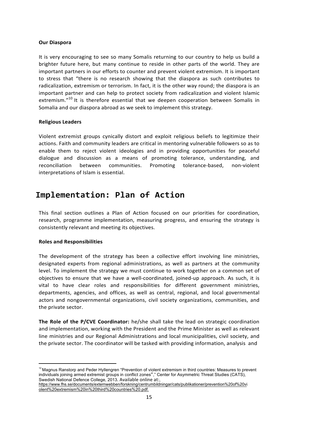#### **Our Diaspora**

It is very encouraging to see so many Somalis returning to our country to help us build a brighter future here, but many continue to reside in other parts of the world. They are important partners in our efforts to counter and prevent violent extremism. It is important to stress that "there is no research showing that the diaspora as such contributes to radicalization, extremism or terrorism. In fact, it is the other way round; the diaspora is an important partner and can help to protect society from radicalization and violent Islamic extremism."<sup>10</sup> It is therefore essential that we deepen cooperation between Somalis in Somalia and our diaspora abroad as we seek to implement this strategy.

#### **Religious Leaders**

Violent extremist groups cynically distort and exploit religious beliefs to legitimize their actions. Faith and community leaders are critical in mentoring vulnerable followers so as to enable them to reject violent ideologies and in providing opportunities for peaceful dialogue and discussion as a means of promoting tolerance, understanding, and reconciliation between communities. Promoting tolerance-based, non-violent interpretations of Islam is essential.

# **Implementation: Plan of Action**

This final section outlines a Plan of Action focused on our priorities for coordination, research, programme implementation, measuring progress, and ensuring the strategy is consistently relevant and meeting its objectives.

#### **Roles and Responsibilities**

The development of the strategy has been a collective effort involving line ministries, designated experts from regional administrations, as well as partners at the community level. To implement the strategy we must continue to work together on a common set of objectives to ensure that we have a well-coordinated, joined-up approach. As such, it is vital to have clear roles and responsibilities for different government ministries, departments, agencies, and offices, as well as central, regional, and local governmental actors and nongovernmental organizations, civil society organizations, communities, and the private sector.

**The Role of the P/CVE Coordinator:** he/she shall take the lead on strategic coordination and implementation, working with the President and the Prime Minister as well as relevant line ministries and our Regional Administrations and local municipalities, civil society, and the private sector. The coordinator will be tasked with providing information, analysis and

<sup>&</sup>lt;sup>10</sup> Magnus Ranstorp and Peder Hyllengren "Prevention of violent extremism in third countries: Measures to prevent individuals joining armed extremist groups in conflict zones"," Center for Asymmetric Threat Studies (CATS), Swedish National Defence College, 2013. Available online at:,

https://www.fhs.se/documents/externwebben/forskning/centrumbildningar/cats/publikationer/prevention%20of%20vi olent%20extremism%20in%20third%20countries%20.pdf.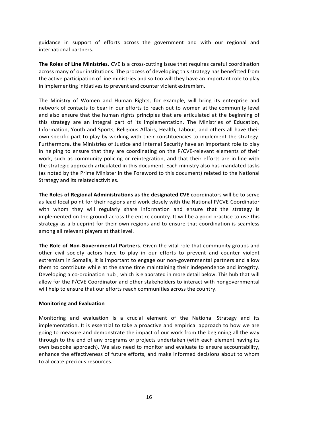guidance in support of efforts across the government and with our regional and international partners.

**The Roles of Line Ministries.** CVE is a cross-cutting issue that requires careful coordination across many of our institutions. The process of developing this strategy has benefitted from the active participation of line ministries and so too will they have an important role to play in implementing initiatives to prevent and counter violent extremism.

The Ministry of Women and Human Rights, for example, will bring its enterprise and network of contacts to bear in our efforts to reach out to women at the community level and also ensure that the human rights principles that are articulated at the beginning of this strategy are an integral part of its implementation. The Ministries of Education, Information, Youth and Sports, Religious Affairs, Health, Labour, and others all have their own specific part to play by working with their constituencies to implement the strategy. Furthermore, the Ministries of Justice and Internal Security have an important role to play in helping to ensure that they are coordinating on the P/CVE-relevant elements of their work, such as community policing or reintegration, and that their efforts are in line with the strategic approach articulated in this document. Each ministry also has mandated tasks (as noted by the Prime Minister in the Foreword to this document) related to the National Strategy and its related activities.

**The Roles of Regional Administrations as the designated CVE** coordinators will be to serve as lead focal point for their regions and work closely with the National P/CVE Coordinator with whom they will regularly share information and ensure that the strategy is implemented on the ground across the entire country. It will be a good practice to use this strategy as a blueprint for their own regions and to ensure that coordination is seamless among all relevant players at that level.

The Role of Non-Governmental Partners. Given the vital role that community groups and other civil society actors have to play in our efforts to prevent and counter violent extremism in Somalia, it is important to engage our non-governmental partners and allow them to contribute while at the same time maintaining their independence and integrity. Developing a co-ordination hub, which is elaborated in more detail below. This hub that will allow for the P/CVE Coordinator and other stakeholders to interact with nongovernmental will help to ensure that our efforts reach communities across the country.

#### **Monitoring and Evaluation**

Monitoring and evaluation is a crucial element of the National Strategy and its implementation. It is essential to take a proactive and empirical approach to how we are going to measure and demonstrate the impact of our work from the beginning all the way through to the end of any programs or projects undertaken (with each element having its own bespoke approach). We also need to monitor and evaluate to ensure accountability, enhance the effectiveness of future efforts, and make informed decisions about to whom to allocate precious resources.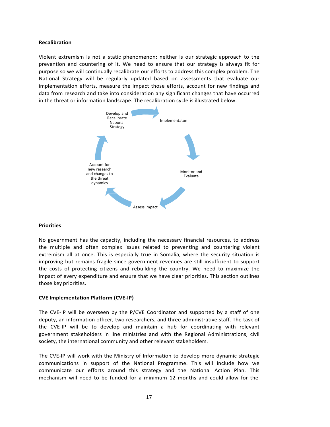#### **Recalibration**

Violent extremism is not a static phenomenon: neither is our strategic approach to the prevention and countering of it. We need to ensure that our strategy is always fit for purpose so we will continually recalibrate our efforts to address this complex problem. The National Strategy will be regularly updated based on assessments that evaluate our implementation efforts, measure the impact those efforts, account for new findings and data from research and take into consideration any significant changes that have occurred in the threat or information landscape. The recalibration cycle is illustrated below.



#### **Priorities**

No government has the capacity, including the necessary financial resources, to address the multiple and often complex issues related to preventing and countering violent extremism all at once. This is especially true in Somalia, where the security situation is improving but remains fragile since government revenues are still insufficient to support the costs of protecting citizens and rebuilding the country. We need to maximize the impact of every expenditure and ensure that we have clear priorities. This section outlines those key priorities.

#### **CVE Implementation Platform (CVE-IP)**

The CVE-IP will be overseen by the  $P/CVE$  Coordinator and supported by a staff of one deputy, an information officer, two researchers, and three administrative staff. The task of the CVE-IP will be to develop and maintain a hub for coordinating with relevant government stakeholders in line ministries and with the Regional Administrations, civil society, the international community and other relevant stakeholders.

The CVE-IP will work with the Ministry of Information to develop more dynamic strategic communications in support of the National Programme. This will include how we communicate our efforts around this strategy and the National Action Plan. This mechanism will need to be funded for a minimum 12 months and could allow for the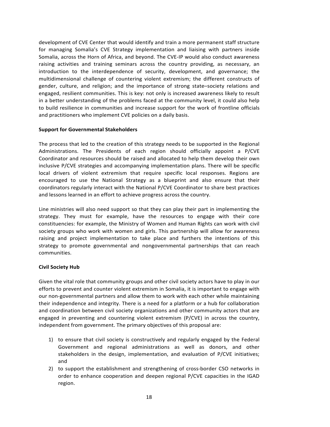development of CVE Center that would identify and train a more permanent staff structure for managing Somalia's CVE Strategy implementation and liaising with partners inside Somalia, across the Horn of Africa, and beyond. The CVE-IP would also conduct awareness raising activities and training seminars across the country providing, as necessary, an introduction to the interdependence of security, development, and governance; the multidimensional challenge of countering violent extremism; the different constructs of gender, culture, and religion; and the importance of strong state–society relations and engaged, resilient communities. This is key: not only is increased awareness likely to result in a better understanding of the problems faced at the community level, it could also help to build resilience in communities and increase support for the work of frontline officials and practitioners who implement CVE policies on a daily basis.

#### **Support for Governmental Stakeholders**

The process that led to the creation of this strategy needs to be supported in the Regional Administrations. The Presidents of each region should officially appoint a P/CVE Coordinator and resources should be raised and allocated to help them develop their own inclusive P/CVE strategies and accompanying implementation plans. There will be specific local drivers of violent extremism that require specific local responses. Regions are encouraged to use the National Strategy as a blueprint and also ensure that their coordinators regularly interact with the National P/CVE Coordinator to share best practices and lessons learned in an effort to achieve progress across the country.

Line ministries will also need support so that they can play their part in implementing the strategy. They must for example, have the resources to engage with their core constituencies: for example, the Ministry of Women and Human Rights can work with civil society groups who work with women and girls. This partnership will allow for awareness raising and project implementation to take place and furthers the intentions of this strategy to promote governmental and nongovernmental partnerships that can reach communities.

#### **Civil Society Hub**

Given the vital role that community groups and other civil society actors have to play in our efforts to prevent and counter violent extremism in Somalia, it is important to engage with our non-governmental partners and allow them to work with each other while maintaining their independence and integrity. There is a need for a platform or a hub for collaboration and coordination between civil society organizations and other community actors that are engaged in preventing and countering violent extremism  $(P/CVE)$  in across the country, independent from government. The primary objectives of this proposal are:

- 1) to ensure that civil society is constructively and regularly engaged by the Federal Government and regional administrations as well as donors, and other stakeholders in the design, implementation, and evaluation of P/CVE initiatives; and
- 2) to support the establishment and strengthening of cross-border CSO networks in order to enhance cooperation and deepen regional P/CVE capacities in the IGAD region.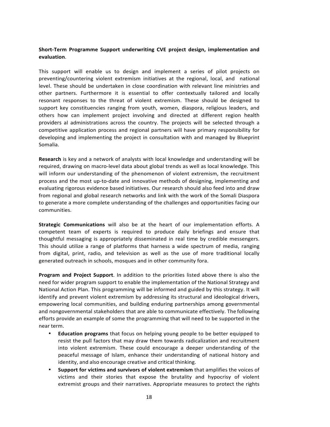### Short-Term Programme Support underwriting CVE project design, implementation and **evaluation**.

This support will enable us to design and implement a series of pilot projects on preventing/countering violent extremism initiatives at the regional, local, and national level. These should be undertaken in close coordination with relevant line ministries and other partners. Furthermore it is essential to offer contextually tailored and locally resonant responses to the threat of violent extremism. These should be designed to support key constituencies ranging from youth, women, diaspora, religious leaders, and others how can implement project involving and directed at different region health providers al administrations across the country. The projects will be selected through a competitive application process and regional partners will have primary responsibility for developing and implementing the project in consultation with and managed by Blueprint Somalia.

**Research** is key and a network of analysts with local knowledge and understanding will be required, drawing on macro-level data about global trends as well as local knowledge. This will inform our understanding of the phenomenon of violent extremism, the recruitment process and the most up-to-date and innovative methods of designing, implementing and evaluating rigorous evidence based initiatives. Our research should also feed into and draw from regional and global research networks and link with the work of the Somali Diaspora to generate a more complete understanding of the challenges and opportunities facing our communities.

**Strategic Communications** will also be at the heart of our implementation efforts. A competent team of experts is required to produce daily briefings and ensure that thoughtful messaging is appropriately disseminated in real time by credible messengers. This should utilize a range of platforms that harness a wide spectrum of media, ranging from digital, print, radio, and television as well as the use of more traditional locally generated outreach in schools, mosques and in other community fora.

**Program and Project Support**. In addition to the priorities listed above there is also the need for wider program support to enable the implementation of the National Strategy and National Action Plan. This programming will be informed and guided by this strategy. It will identify and prevent violent extremism by addressing its structural and ideological drivers, empowering local communities, and building enduring partnerships among governmental and nongovernmental stakeholders that are able to communicate effectively. The following efforts provide an example of some the programming that will need to be supported in the near term.

- **Education programs** that focus on helping young people to be better equipped to resist the pull factors that may draw them towards radicalization and recruitment into violent extremism. These could encourage a deeper understanding of the peaceful message of Islam, enhance their understanding of national history and identity, and also encourage creative and critical thinking.
- **Support for victims and survivors of violent extremism** that amplifies the voices of victims and their stories that expose the brutality and hypocrisy of violent extremist groups and their narratives. Appropriate measures to protect the rights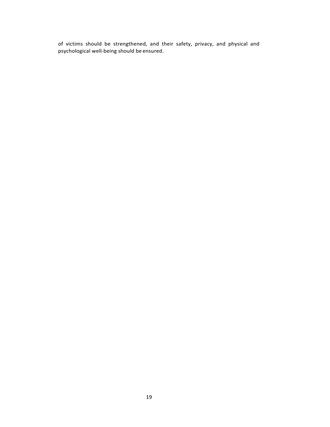of victims should be strengthened, and their safety, privacy, and physical and psychological well-being should be ensured.